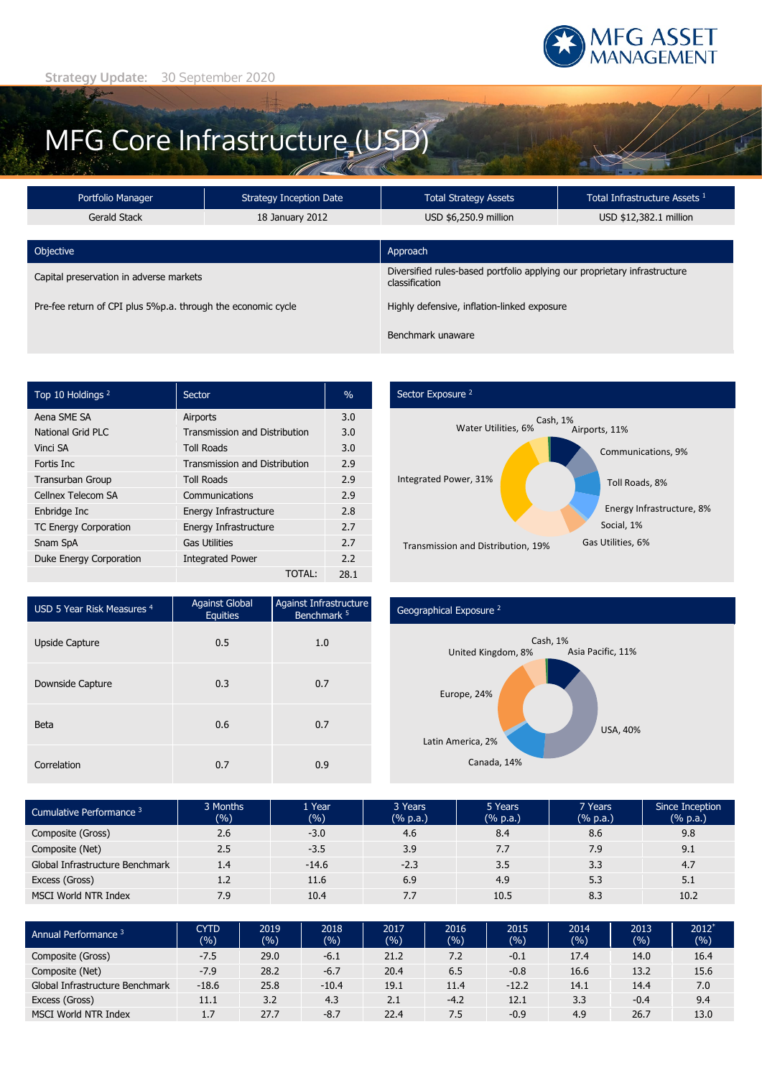

# MFG Core Infrastructure (USD)

| Portfolio Manager<br><b>Strategy Inception Date</b>          |                 | <b>Total Strategy Assets</b>                                                                | Total Infrastructure Assets <sup>1</sup> |  |  |
|--------------------------------------------------------------|-----------------|---------------------------------------------------------------------------------------------|------------------------------------------|--|--|
| Gerald Stack                                                 | 18 January 2012 | USD \$6,250.9 million                                                                       | USD \$12,382.1 million                   |  |  |
|                                                              |                 |                                                                                             |                                          |  |  |
| Objective                                                    |                 | Approach                                                                                    |                                          |  |  |
| Capital preservation in adverse markets                      |                 | Diversified rules-based portfolio applying our proprietary infrastructure<br>classification |                                          |  |  |
| Pre-fee return of CPI plus 5%p.a. through the economic cycle |                 | Highly defensive, inflation-linked exposure                                                 |                                          |  |  |
|                                                              |                 | Benchmark unaware                                                                           |                                          |  |  |

| Top 10 Holdings <sup>2</sup> | Sector                               | $\%$ |
|------------------------------|--------------------------------------|------|
| Aena SME SA                  | Airports                             | 3.0  |
| National Grid PLC            | <b>Transmission and Distribution</b> | 3.0  |
| Vinci SA                     | <b>Toll Roads</b>                    | 3.0  |
| Fortis Inc.                  | <b>Transmission and Distribution</b> | 2.9  |
| <b>Transurban Group</b>      | <b>Toll Roads</b>                    | 2.9  |
| Cellnex Telecom SA           | Communications                       | 2.9  |
| Enbridge Inc                 | Energy Infrastructure                | 2.8  |
| <b>TC Energy Corporation</b> | Energy Infrastructure                | 2.7  |
| Snam SpA                     | <b>Gas Utilities</b>                 | 2.7  |
| Duke Energy Corporation      | <b>Integrated Power</b>              | 2.2  |
|                              | <b>TOTAL:</b>                        | 28.1 |

# Sector Exposure<sup>2</sup>



| USD 5 Year Risk Measures <sup>4</sup> | <b>Against Global</b><br><b>Equities</b> | Against Infrastructure<br>Benchmark <sup>5</sup> |
|---------------------------------------|------------------------------------------|--------------------------------------------------|
| <b>Upside Capture</b>                 | 0.5                                      | 1.0                                              |
| Downside Capture                      | 0.3                                      | 0.7                                              |
| Beta                                  | 0.6                                      | 0.7                                              |
| Correlation                           | 0.7                                      | 0.9                                              |

### Geographical Exposure <sup>2</sup>



| Cumulative Performance 3        | 3 Months<br>(%) | 1 Year<br>(%) | 3 Years<br>(% p.a.) | 5 Years<br>(% p.a.) | 7 Years<br>(% p.a.) | Since Inception<br>(% p.a.) |
|---------------------------------|-----------------|---------------|---------------------|---------------------|---------------------|-----------------------------|
| Composite (Gross)               | 2.6             | $-3.0$        | 4.6                 | 8.4                 | 8.6                 | 9.8                         |
| Composite (Net)                 | 2.5             | $-3.5$        | 3.9                 | 7.7                 | 7.9                 | 9.1                         |
| Global Infrastructure Benchmark | 1.4             | $-14.6$       | $-2.3$              | 3.5                 | 3.3                 | 4.7                         |
| Excess (Gross)                  | 1.2             | 11.6          | 6.9                 | 4.9                 | 5.3                 | 5.1                         |
| <b>MSCI World NTR Index</b>     | 7.9             | 10.4          | 7.7                 | 10.5                | 8.3                 | 10.2                        |

| Annual Performance 3            | <b>CYTD</b><br>(%) | 2019<br>(%) | 2018<br>(%) | 2017<br>(% ) | 2016<br>(9/6) | 2015<br>(%) | 2014<br>(%) | 2013<br>(9/6) | $2012*$<br>(%) |
|---------------------------------|--------------------|-------------|-------------|--------------|---------------|-------------|-------------|---------------|----------------|
| Composite (Gross)               | $-7.5$             | 29.0        | $-6.1$      | 21.2         | 7.2           | $-0.1$      | 17.4        | 14.0          | 16.4           |
| Composite (Net)                 | $-7.9$             | 28.2        | $-6.7$      | 20.4         | 6.5           | $-0.8$      | 16.6        | 13.2          | 15.6           |
| Global Infrastructure Benchmark | $-18.6$            | 25.8        | $-10.4$     | 19.1         | 11.4          | $-12.2$     | 14.1        | 14.4          | 7.0            |
| Excess (Gross)                  | 11.1               | 3.2         | 4.3         | 2.1          | $-4.2$        | 12.1        | 3.3         | $-0.4$        | 9.4            |
| MSCI World NTR Index            | 1.7                | 27.7        | $-8.7$      | 22.4         | 7.5           | $-0.9$      | 4.9         | 26.7          | 13.0           |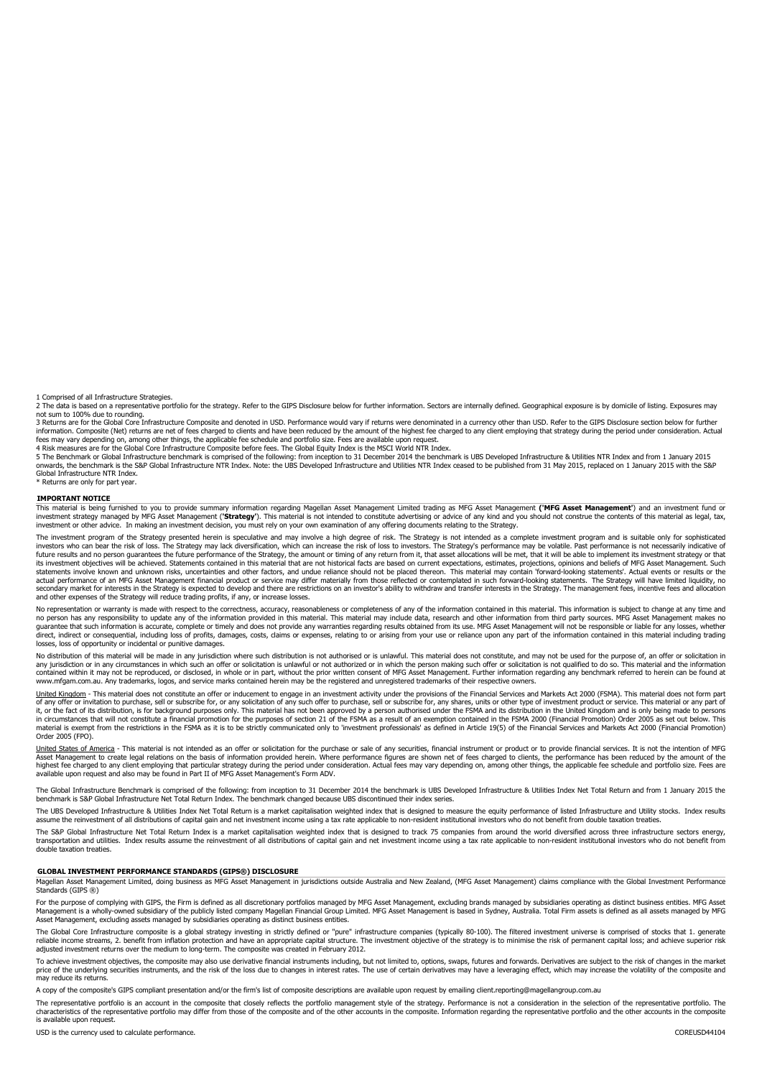1 Comprised of all Infrastructure Strategies.

2 The data is based on a representative portfolio for the strategy. Refer to the GIPS Disclosure below for further information. Sectors are internally defined. Geographical exposure is by domicile of listing. Exposures may not sum to 100% due to rounding.

3 Returns are for the Global Core Infrastructure Composite and denoted in USD. Performance would vary if returns were denominated in a currency other than USD. Refer to the GIPS Disclosure section below for further information. Composite (Net) returns are net of fees charged to clients and have been reduced by the amount of the highest fee charged to any client employing that strategy during the period under consideration. Actual fees may vary depending on, among other things, the applicable fee schedule and portfolio size. Fees are available upon request.

4 Risk measures are for the Global Core Infrastructure Composite before fees. The Global Equity Index is the MSCI World NTR Index.<br>5 The Benchmark or Global Infrastructure NTR Index. Note: the UBS Developed Infrastructure Global Infrastructure NTR Index.

Returns are only for part year.

#### **IMPORTANT NOTICE**

This material is being furnished to you to provide summary information regarding Magellan Asset Management Limited trading as MFG Asset Management ('MFG Asset Management') and an investment fund or<br>investment strategy mana anaged by MFG Asset Management ('Strategy'). This material is not intended to constitute advertising or advice of any kind and you should not construe the contents of this material as legal, tax, investment or other advice. In making an investment decision, you must rely on your own examination of any offering documents relating to the Strategy.

The investment program of the Strategy presented herein is speculative and may involve a high degree of risk. The Strategy is not intended as a complete investment program and is suitable only for sophisticated<br>investors w future results and no person guarantees the future performance of the Strategy, the amount or timing of any return from it, that asset allocations will be met, that it will be able to implement its investment strategy or t actual performance of an MFG Asset Management financial product or service may differ materially from those reflected or contemplated in such forward-looking statements. The Strategy will have limited liquidity, no<br>seconda and other expenses of the Strategy will reduce trading profits, if any, or increase losses.

No representation or warranty is made with respect to the correctness, accuracy, reasonableness or completeness of any of the information contained in this material. This information is subject to change at any time and no person has any responsibility to update any of the information provided in this material may indude data, research and other information from third party sources. MFG Asset Management makes no<br>guarantee that such inform direct, indirect or consequential, including loss of profits, damages, costs, claims or expenses, relating to or arising from your use or reliance upon any part of the information contained in this material including tradi losses, loss of opportunity or incidental or punitive damages.

No distribution of this material will be made in any jurisdiction where such distribution is not authorised or is unlawful. This material does not constitute, and may not be used for the purpose of, an offer or solicitatio www.communication.org/www.communications.com/www.communications.com/www.communications.com/www.communications.com/windthe-erson.making-such-offer-or-solicitation-is-not-qualified-to-do-so. This material and the information contained within it may not be reproduced, or disclosed, in whole or in part, without the prior written consent of MFG Asset Management. Further information regarding any benchmark referred to herein can be found at www.mfgam.com.au. Any trademarks, logos, and service marks contained herein may be the registered and unregistered trademarks of their respective owners.

United Kingdom - This material does not constitute an offer or inducement to engage in an investment activity under the provisions of the Financial Services and Markets Act 2000 (FSMA). This material does not form part of any offer or invitation to purchase, sell or subscribe for, or any solicitation of any such offer to purchase, sell or subscribe for, any shares, units or other type of investment product or service. This material or an material is exempt from the restrictions in the FSMA as it is to be strictly communicated only to 'investment professionals' as defined in Article 19(5) of the Financial Services and Markets Act 2000 (Financial Promotion) Order 2005 (FPO).

<u>United States of America</u> - This material is not intended as an offer or solicitation for the purchase or sale of any securities, financial instrument or product or to provide financial services. It is not the intention o

The Global Infrastructure Benchmark is comprised of the following: from inception to 31 December 2014 the benchmark is UBS Developed Infrastructure & Utilities Index Net Total Return and from 1 January 2015 the benchmark is S&P Global Infrastructure Net Total Return Index. The benchmark changed because UBS discontinued their index series.

The UBS Developed Infrastructure & Utilities Index Net Total Return is a market capitalisation weighted index that is designed to measure the equity performance of listed Infrastructure and Utility stocks. Index results assume the reinvestment of all distributions of capital gain and net investment income using a tax rate applicable to non-resident institutional investors who do not benefit from double taxation treat

The S&P Global Infrastructure Net Total Return Index is a market capitalisation weighted index that is designed to track 75 companies from around the world diversified across three infrastructure sectors energy, transportation and utilities. Index results assume the reinvestment of all distributions of capital gain and net investment income using a tax rate applicable to non-resident institutional investors who do not benefit from double taxation treaties.

#### **GLOBAL INVESTMENT PERFORMANCE STANDARDS (GIPS®) DISCLOSURE**

Magellan Asset Management Limited, doing business as MFG Asset Management in jurisdictions outside Australia and New Zealand, (MFG Asset Management) claims compliance with the Global Investment Performance Standards (GIPS ®)

For the purpose of complying with GIPS, the Firm is defined as all discretionary portfolios managed by MFG Asset Management, excluding brands managed by subsidiaries operating as distinct business entities. MFG Asset Management is a wholly-owned subsidiary of the publicly listed company Magellan Financial Group Limited. MFG Asset Management is based in Sydney, Australia. Total Firm assets is defined as all assets managed by MFG<br>Asset M

The Global Core Infrastructure composite is a global strategy investing in strictly defined or "pure" infrastructure companies (typically 80-100). The filtered investment universe is comprised of stocks that 1. generate reliable income streams, 2. benefit from inflation protection and have an appropriate capital structure. The investment objective of the strategy is to minimise the risk of permanent capital loss; and achieve superior risk

To achieve investment objectives, the composite may also use derivative financial instruments including, but not limited to, options, swaps, futures and forwards. Derivatives are subject to the risk of changes in the marke may reduce its returns.

A copy of the composite's GIPS compliant presentation and/or the firm's list of composite descriptions are available upon request by emailing client.reporting@magellangroup.com.au

The representative portfolio is an account in the composite that closely reflects the portfolio management style of the strategy. Performance is not a consideration in the selection of the representative portfolio. The characteristics of the representative portfolio may differ from those of the composite and of the other accounts in the composite. Information regarding the representative portfolio and the other accounts in the composite is available upon request.